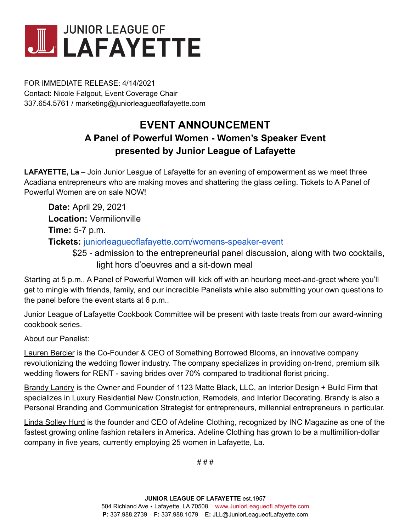

FOR IMMEDIATE RELEASE: 4/14/2021 Contact: Nicole Falgout, Event Coverage Chair 337.654.5761 / marketing@juniorleagueoflafayette.com

## **EVENT ANNOUNCEMENT**

## **A Panel of Powerful Women - Women's Speaker Event presented by Junior League of Lafayette**

**LAFAYETTE, La** – Join Junior League of Lafayette for an evening of empowerment as we meet three Acadiana entrepreneurs who are making moves and shattering the glass ceiling. Tickets to A Panel of Powerful Women are on sale NOW!

**Date:** April 29, 2021 **Location:** Vermilionville **Time:** 5-7 p.m. **Tickets:** [juniorleagueoflafayette.com/womens-speaker-event](http://juniorleagueoflafayette.com/womens-speaker-event?fbclid=IwAR2cA8d-TQLMqYmSMRj5NT4mNmK4GjiJxR5bjEuwOgUzT1cgmmt5J12tU34)

\$25 - admission to the entrepreneurial panel discussion, along with two cocktails, light hors d'oeuvres and a sit-down meal

Starting at 5 p.m., A Panel of Powerful Women will kick off with an hourlong meet-and-greet where you'll get to mingle with friends, family, and our incredible Panelists while also submitting your own questions to the panel before the event starts at 6 p.m..

Junior League of Lafayette Cookbook Committee will be present with taste treats from our award-winning cookbook series.

About our Panelist:

**Lauren Bercier** is the Co-Founder & CEO of Something Borrowed Blooms, an innovative company revolutionizing the wedding flower industry. The company specializes in providing on-trend, premium silk wedding flowers for RENT - saving brides over 70% compared to traditional florist pricing.

Brandy Landry is the Owner and Founder of 1123 Matte Black, LLC, an Interior Design + Build Firm that specializes in Luxury Residential New Construction, Remodels, and Interior Decorating. Brandy is also a Personal Branding and Communication Strategist for entrepreneurs, millennial entrepreneurs in particular.

Linda Solley Hurd is the founder and CEO of Adeline Clothing, recognized by INC Magazine as one of the fastest growing online fashion retailers in America. Adeline Clothing has grown to be a multimillion-dollar company in five years, currently employing 25 women in Lafayette, La.

# # #